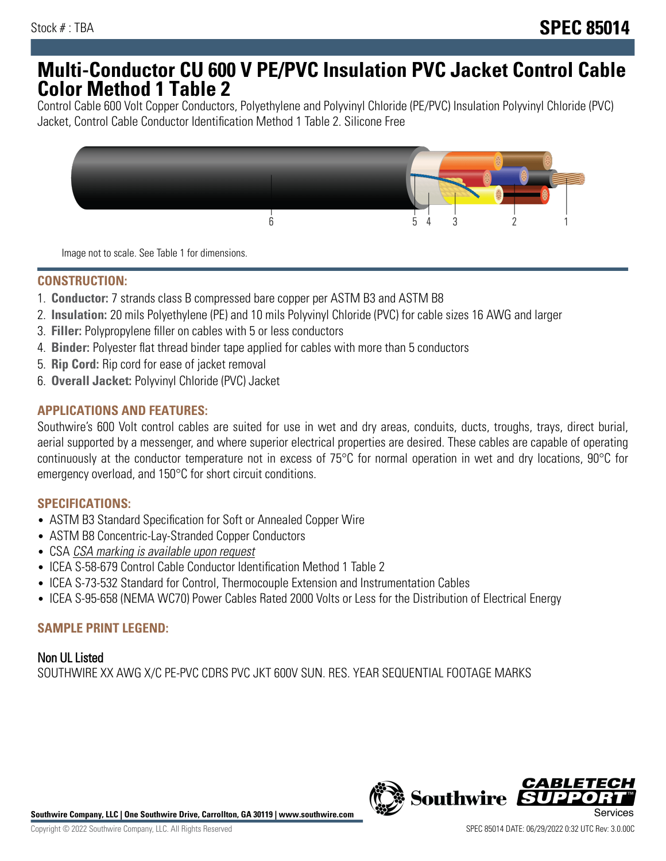# **Multi-Conductor CU 600 V PE/PVC Insulation PVC Jacket Control Cable Color Method 1 Table 2**

Control Cable 600 Volt Copper Conductors, Polyethylene and Polyvinyl Chloride (PE/PVC) Insulation Polyvinyl Chloride (PVC) Jacket, Control Cable Conductor Identification Method 1 Table 2. Silicone Free



Image not to scale. See Table 1 for dimensions.

#### **CONSTRUCTION:**

- 1. **Conductor:** 7 strands class B compressed bare copper per ASTM B3 and ASTM B8
- 2. **Insulation:** 20 mils Polyethylene (PE) and 10 mils Polyvinyl Chloride (PVC) for cable sizes 16 AWG and larger
- 3. **Filler:** Polypropylene filler on cables with 5 or less conductors
- 4. **Binder:** Polyester flat thread binder tape applied for cables with more than 5 conductors
- 5. **Rip Cord:** Rip cord for ease of jacket removal
- 6. **Overall Jacket:** Polyvinyl Chloride (PVC) Jacket

## **APPLICATIONS AND FEATURES:**

Southwire's 600 Volt control cables are suited for use in wet and dry areas, conduits, ducts, troughs, trays, direct burial, aerial supported by a messenger, and where superior electrical properties are desired. These cables are capable of operating continuously at the conductor temperature not in excess of 75°C for normal operation in wet and dry locations, 90°C for emergency overload, and 150°C for short circuit conditions.

#### **SPECIFICATIONS:**

- ASTM B3 Standard Specification for Soft or Annealed Copper Wire
- ASTM B8 Concentric-Lay-Stranded Copper Conductors
- CSA CSA marking is available upon request
- ICEA S-58-679 Control Cable Conductor Identification Method 1 Table 2
- ICEA S-73-532 Standard for Control, Thermocouple Extension and Instrumentation Cables
- ICEA S-95-658 (NEMA WC70) Power Cables Rated 2000 Volts or Less for the Distribution of Electrical Energy

#### **SAMPLE PRINT LEGEND:**

Non UL Listed SOUTHWIRE XX AWG X/C PE-PVC CDRS PVC JKT 600V SUN. RES. YEAR SEQUENTIAL FOOTAGE MARKS



**Southwire Company, LLC | One Southwire Drive, Carrollton, GA 30119 | www.southwire.com**